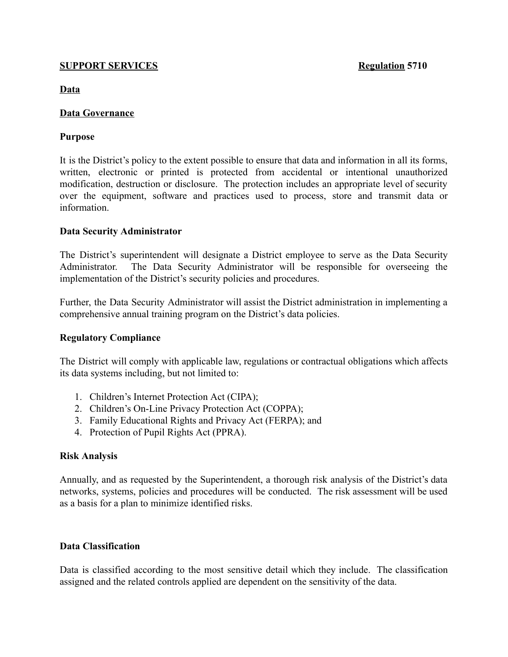### **SUPPORT SERVICES Regulation 5710**

**Data**

## **Data Governance**

### **Purpose**

It is the District's policy to the extent possible to ensure that data and information in all its forms, written, electronic or printed is protected from accidental or intentional unauthorized modification, destruction or disclosure. The protection includes an appropriate level of security over the equipment, software and practices used to process, store and transmit data or information.

## **Data Security Administrator**

The District's superintendent will designate a District employee to serve as the Data Security Administrator. The Data Security Administrator will be responsible for overseeing the implementation of the District's security policies and procedures.

Further, the Data Security Administrator will assist the District administration in implementing a comprehensive annual training program on the District's data policies.

## **Regulatory Compliance**

The District will comply with applicable law, regulations or contractual obligations which affects its data systems including, but not limited to:

- 1. Children's Internet Protection Act (CIPA);
- 2. Children's On-Line Privacy Protection Act (COPPA);
- 3. Family Educational Rights and Privacy Act (FERPA); and
- 4. Protection of Pupil Rights Act (PPRA).

## **Risk Analysis**

Annually, and as requested by the Superintendent, a thorough risk analysis of the District's data networks, systems, policies and procedures will be conducted. The risk assessment will be used as a basis for a plan to minimize identified risks.

## **Data Classification**

Data is classified according to the most sensitive detail which they include. The classification assigned and the related controls applied are dependent on the sensitivity of the data.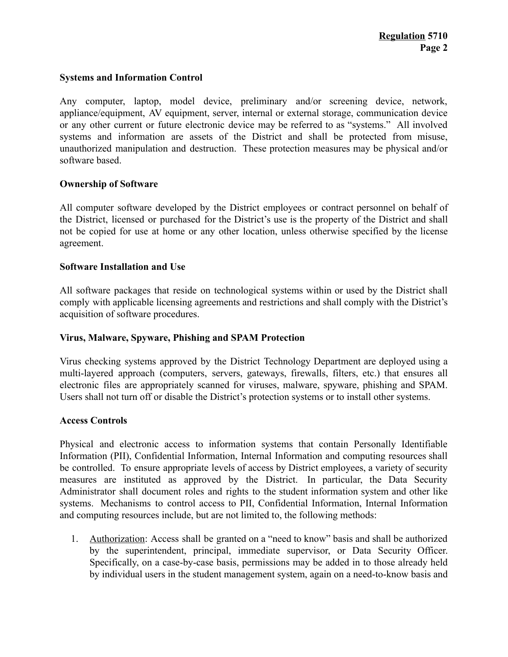## **Systems and Information Control**

Any computer, laptop, model device, preliminary and/or screening device, network, appliance/equipment, AV equipment, server, internal or external storage, communication device or any other current or future electronic device may be referred to as "systems." All involved systems and information are assets of the District and shall be protected from misuse, unauthorized manipulation and destruction. These protection measures may be physical and/or software based.

## **Ownership of Software**

All computer software developed by the District employees or contract personnel on behalf of the District, licensed or purchased for the District's use is the property of the District and shall not be copied for use at home or any other location, unless otherwise specified by the license agreement.

## **Software Installation and Use**

All software packages that reside on technological systems within or used by the District shall comply with applicable licensing agreements and restrictions and shall comply with the District's acquisition of software procedures.

## **Virus, Malware, Spyware, Phishing and SPAM Protection**

Virus checking systems approved by the District Technology Department are deployed using a multi-layered approach (computers, servers, gateways, firewalls, filters, etc.) that ensures all electronic files are appropriately scanned for viruses, malware, spyware, phishing and SPAM. Users shall not turn off or disable the District's protection systems or to install other systems.

## **Access Controls**

Physical and electronic access to information systems that contain Personally Identifiable Information (PII), Confidential Information, Internal Information and computing resources shall be controlled. To ensure appropriate levels of access by District employees, a variety of security measures are instituted as approved by the District. In particular, the Data Security Administrator shall document roles and rights to the student information system and other like systems. Mechanisms to control access to PII, Confidential Information, Internal Information and computing resources include, but are not limited to, the following methods:

1. Authorization: Access shall be granted on a "need to know" basis and shall be authorized by the superintendent, principal, immediate supervisor, or Data Security Officer. Specifically, on a case-by-case basis, permissions may be added in to those already held by individual users in the student management system, again on a need-to-know basis and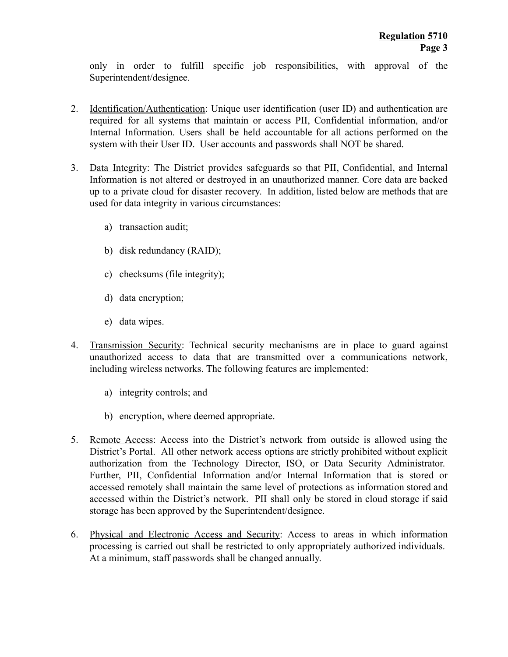only in order to fulfill specific job responsibilities, with approval of the Superintendent/designee.

- 2. Identification/Authentication : Unique user identification (user ID) and authentication are required for all systems that maintain or access PII, Confidential information, and/or Internal Information. Users shall be held accountable for all actions performed on the system with their User ID. User accounts and passwords shall NOT be shared.
- 3. Data Integrity: The District provides safeguards so that PII, Confidential, and Internal Information is not altered or destroyed in an unauthorized manner. Core data are backed up to a private cloud for disaster recovery. In addition, listed below are methods that are used for data integrity in various circumstances:
	- a) transaction audit;
	- b) disk redundancy (RAID);
	- c) checksums (file integrity);
	- d) data encryption;
	- e) data wipes.
- 4. Transmission Security : Technical security mechanisms are in place to guard against unauthorized access to data that are transmitted over a communications network, including wireless networks. The following features are implemented:
	- a) integrity controls; and
	- b) encryption, where deemed appropriate.
- 5. Remote Access : Access into the District's network from outside is allowed using the District's Portal. All other network access options are strictly prohibited without explicit authorization from the Technology Director, ISO, or Data Security Administrator. Further, PII, Confidential Information and/or Internal Information that is stored or accessed remotely shall maintain the same level of protections as information stored and accessed within the District's network. PII shall only be stored in cloud storage if said storage has been approved by the Superintendent/designee.
- 6. Physical and Electronic Access and Security: Access to areas in which information processing is carried out shall be restricted to only appropriately authorized individuals. At a minimum, staff passwords shall be changed annually.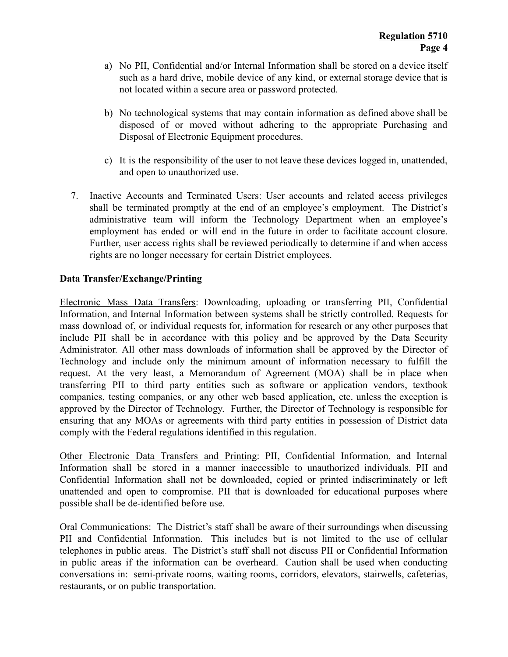- a) No PII, Confidential and/or Internal Information shall be stored on a device itself such as a hard drive, mobile device of any kind, or external storage device that is not located within a secure area or password protected.
- b) No technological systems that may contain information as defined above shall be disposed of or moved without adhering to the appropriate Purchasing and Disposal of Electronic Equipment procedures.
- c) It is the responsibility of the user to not leave these devices logged in, unattended, and open to unauthorized use.
- 7. Inactive Accounts and Terminated Users: User accounts and related access privileges shall be terminated promptly at the end of an employee's employment. The District's administrative team will inform the Technology Department when an employee's employment has ended or will end in the future in order to facilitate account closure. Further, user access rights shall be reviewed periodically to determine if and when access rights are no longer necessary for certain District employees.

# **Data Transfer/Exchange/Printing**

Electronic Mass Data Transfers: Downloading, uploading or transferring PII, Confidential Information, and Internal Information between systems shall be strictly controlled. Requests for mass download of, or individual requests for, information for research or any other purposes that include PII shall be in accordance with this policy and be approved by the Data Security Administrator. All other mass downloads of information shall be approved by the Director of Technology and include only the minimum amount of information necessary to fulfill the request. At the very least, a Memorandum of Agreement (MOA) shall be in place when transferring PII to third party entities such as software or application vendors, textbook companies, testing companies, or any other web based application, etc. unless the exception is approved by the Director of Technology. Further, the Director of Technology is responsible for ensuring that any MOAs or agreements with third party entities in possession of District data comply with the Federal regulations identified in this regulation.

Other Electronic Data Transfers and Printing: PII, Confidential Information, and Internal Information shall be stored in a manner inaccessible to unauthorized individuals. PII and Confidential Information shall not be downloaded, copied or printed indiscriminately or left unattended and open to compromise. PII that is downloaded for educational purposes where possible shall be de-identified before use.

Oral Communications: The District's staff shall be aware of their surroundings when discussing PII and Confidential Information. This includes but is not limited to the use of cellular telephones in public areas. The District's staff shall not discuss PII or Confidential Information in public areas if the information can be overheard. Caution shall be used when conducting conversations in: semi-private rooms, waiting rooms, corridors, elevators, stairwells, cafeterias, restaurants, or on public transportation.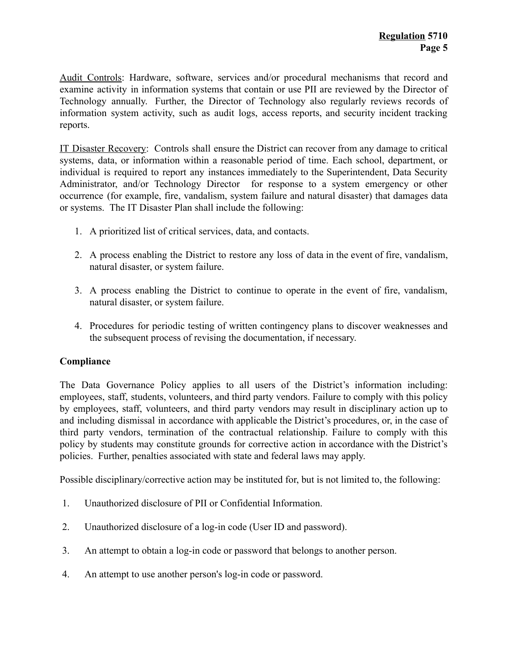Audit Controls: Hardware, software, services and/or procedural mechanisms that record and examine activity in information systems that contain or use PII are reviewed by the Director of Technology annually. Further, the Director of Technology also regularly reviews records of information system activity, such as audit logs, access reports, and security incident tracking reports.

IT Disaster Recovery: Controls shall ensure the District can recover from any damage to critical systems, data, or information within a reasonable period of time. Each school, department, or individual is required to report any instances immediately to the Superintendent, Data Security Administrator, and/or Technology Director for response to a system emergency or other occurrence (for example, fire, vandalism, system failure and natural disaster) that damages data or systems. The IT Disaster Plan shall include the following:

- 1. A prioritized list of critical services, data, and contacts.
- 2. A process enabling the District to restore any loss of data in the event of fire, vandalism, natural disaster, or system failure.
- 3. A process enabling the District to continue to operate in the event of fire, vandalism, natural disaster, or system failure.
- 4. Procedures for periodic testing of written contingency plans to discover weaknesses and the subsequent process of revising the documentation, if necessary.

## **Compliance**

The Data Governance Policy applies to all users of the District's information including: employees, staff, students, volunteers, and third party vendors. Failure to comply with this policy by employees, staff, volunteers, and third party vendors may result in disciplinary action up to and including dismissal in accordance with applicable the District's procedures, or, in the case of third party vendors, termination of the contractual relationship. Failure to comply with this policy by students may constitute grounds for corrective action in accordance with the District's policies. Further, penalties associated with state and federal laws may apply.

Possible disciplinary/corrective action may be instituted for, but is not limited to, the following:

- 1. Unauthorized disclosure of PII or Confidential Information.
- 2. Unauthorized disclosure of a log-in code (User ID and password).
- 3. An attempt to obtain a log-in code or password that belongs to another person.
- 4. An attempt to use another person's log-in code or password.